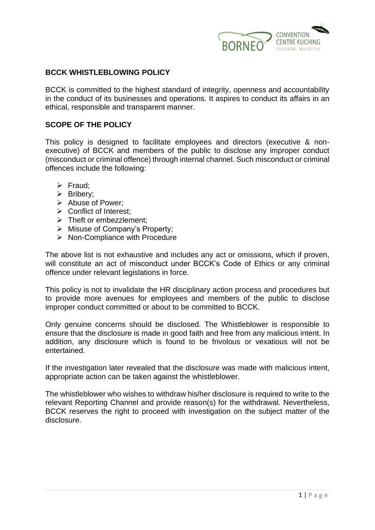

### **BCCK WHISTLEBLOWING POLICY**

BCCK is committed to the highest standard of integrity, openness and accountability in the conduct of its businesses and operations. It aspires to conduct its affairs in an ethical, responsible and transparent manner.

#### **SCOPE OF THE POLICY**

This policy is designed to facilitate employees and directors (executive & nonexecutive) of BCCK and members of the public to disclose any improper conduct (misconduct or criminal offence) through internal channel. Such misconduct or criminal offences include the following:

- ➢ Fraud;
- ➢ Bribery;
- ➢ Abuse of Power;
- ➢ Conflict of Interest;
- ➢ Theft or embezzlement;
- ➢ Misuse of Company's Property;
- ➢ Non-Compliance with Procedure

The above list is not exhaustive and includes any act or omissions, which if proven, will constitute an act of misconduct under BCCK's Code of Ethics or any criminal offence under relevant legislations in force.

This policy is not to invalidate the HR disciplinary action process and procedures but to provide more avenues for employees and members of the public to disclose improper conduct committed or about to be committed to BCCK.

Only genuine concerns should be disclosed. The Whistleblower is responsible to ensure that the disclosure is made in good faith and free from any malicious intent. In addition, any disclosure which is found to be frivolous or vexatious will not be entertained.

If the investigation later revealed that the disclosure was made with malicious intent, appropriate action can be taken against the whistleblower.

The whistleblower who wishes to withdraw his/her disclosure is required to write to the relevant Reporting Channel and provide reason(s) for the withdrawal. Nevertheless, BCCK reserves the right to proceed with investigation on the subject matter of the disclosure.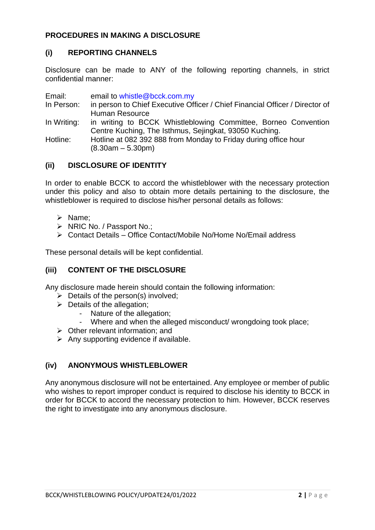## **PROCEDURES IN MAKING A DISCLOSURE**

## **(i) REPORTING CHANNELS**

Disclosure can be made to ANY of the following reporting channels, in strict confidential manner:

Email: email to whistle@bcck.com.my

- In Person: in person to Chief Executive Officer / Chief Financial Officer / Director of Human Resource
- In Writing: in writing to BCCK Whistleblowing Committee, Borneo Convention Centre Kuching, The Isthmus, Sejingkat, 93050 Kuching.

Hotline: Hotline at 082 392 888 from Monday to Friday during office hour (8.30am – 5.30pm)

## **(ii) DISCLOSURE OF IDENTITY**

In order to enable BCCK to accord the whistleblower with the necessary protection under this policy and also to obtain more details pertaining to the disclosure, the whistleblower is required to disclose his/her personal details as follows:

- ➢ Name;
- ➢ NRIC No. / Passport No.;
- ➢ Contact Details Office Contact/Mobile No/Home No/Email address

These personal details will be kept confidential.

#### **(iii) CONTENT OF THE DISCLOSURE**

Any disclosure made herein should contain the following information:

- $\triangleright$  Details of the person(s) involved;
- $\triangleright$  Details of the allegation;
	- Nature of the allegation;
	- Where and when the alleged misconduct/ wrongdoing took place;
- ➢ Other relevant information; and
- $\triangleright$  Any supporting evidence if available.

## **(iv) ANONYMOUS WHISTLEBLOWER**

Any anonymous disclosure will not be entertained. Any employee or member of public who wishes to report improper conduct is required to disclose his identity to BCCK in order for BCCK to accord the necessary protection to him. However, BCCK reserves the right to investigate into any anonymous disclosure.